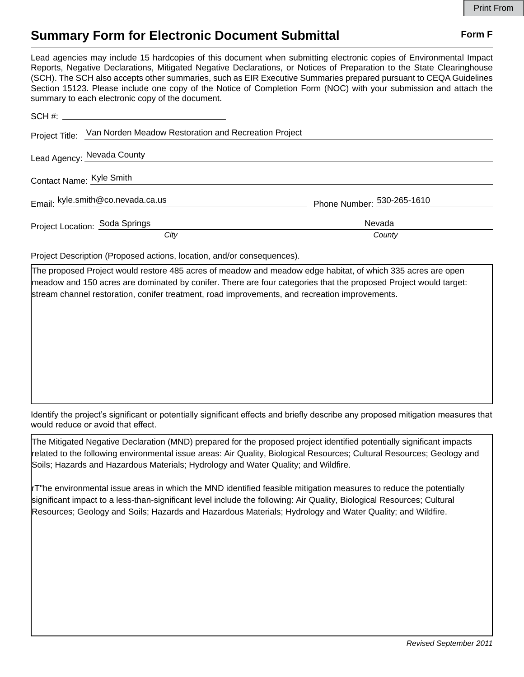## **Summary Form for Electronic Document Submittal Form F Form F**

Lead agencies may include 15 hardcopies of this document when submitting electronic copies of Environmental Impact Reports, Negative Declarations, Mitigated Negative Declarations, or Notices of Preparation to the State Clearinghouse (SCH). The SCH also accepts other summaries, such as EIR Executive Summaries prepared pursuant to CEQA Guidelines Section 15123. Please include one copy of the Notice of Completion Form (NOC) with your submission and attach the summary to each electronic copy of the document.

|                          | Project Title: Van Norden Meadow Restoration and Recreation Project |                            |
|--------------------------|---------------------------------------------------------------------|----------------------------|
|                          | Lead Agency: Nevada County                                          |                            |
| Contact Name: Kyle Smith |                                                                     |                            |
|                          | Email: kyle.smith@co.nevada.ca.us                                   | Phone Number: 530-265-1610 |
|                          | Project Location: Soda Springs                                      | Nevada                     |
|                          | City                                                                | County                     |

Project Description (Proposed actions, location, and/or consequences).

The proposed Project would restore 485 acres of meadow and meadow edge habitat, of which 335 acres are open meadow and 150 acres are dominated by conifer. There are four categories that the proposed Project would target: stream channel restoration, conifer treatment, road improvements, and recreation improvements.

Identify the project's significant or potentially significant effects and briefly describe any proposed mitigation measures that would reduce or avoid that effect.

The Mitigated Negative Declaration (MND) prepared for the proposed project identified potentially significant impacts related to the following environmental issue areas: Air Quality, Biological Resources; Cultural Resources; Geology and Soils; Hazards and Hazardous Materials; Hydrology and Water Quality; and Wildfire.

rT"he environmental issue areas in which the MND identified feasible mitigation measures to reduce the potentially significant impact to a less-than-significant level include the following: Air Quality, Biological Resources; Cultural Resources; Geology and Soils; Hazards and Hazardous Materials; Hydrology and Water Quality; and Wildfire.